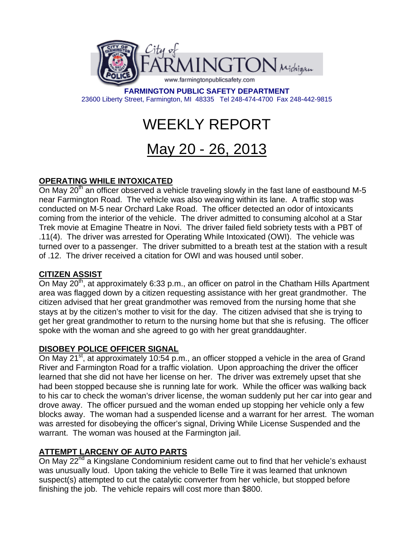

**FARMINGTON PUBLIC SAFETY DEPARTMENT**  23600 Liberty Street, Farmington, MI 48335 Tel 248-474-4700 Fax 248-442-9815

# WEEKLY REPORT

# May 20 - 26, 2013

# **OPERATING WHILE INTOXICATED**

On May  $20<sup>th</sup>$  an officer observed a vehicle traveling slowly in the fast lane of eastbound M-5 near Farmington Road. The vehicle was also weaving within its lane. A traffic stop was conducted on M-5 near Orchard Lake Road. The officer detected an odor of intoxicants coming from the interior of the vehicle. The driver admitted to consuming alcohol at a Star Trek movie at Emagine Theatre in Novi. The driver failed field sobriety tests with a PBT of .11(4). The driver was arrested for Operating While Intoxicated (OWI). The vehicle was turned over to a passenger. The driver submitted to a breath test at the station with a result of .12. The driver received a citation for OWI and was housed until sober.

#### **CITIZEN ASSIST**

On May  $20<sup>th</sup>$ , at approximately 6:33 p.m., an officer on patrol in the Chatham Hills Apartment area was flagged down by a citizen requesting assistance with her great grandmother. The citizen advised that her great grandmother was removed from the nursing home that she stays at by the citizen's mother to visit for the day. The citizen advised that she is trying to get her great grandmother to return to the nursing home but that she is refusing. The officer spoke with the woman and she agreed to go with her great granddaughter.

#### **DISOBEY POLICE OFFICER SIGNAL**

On May 21<sup>st</sup>, at approximately 10:54 p.m., an officer stopped a vehicle in the area of Grand River and Farmington Road for a traffic violation. Upon approaching the driver the officer learned that she did not have her license on her. The driver was extremely upset that she had been stopped because she is running late for work. While the officer was walking back to his car to check the woman's driver license, the woman suddenly put her car into gear and drove away. The officer pursued and the woman ended up stopping her vehicle only a few blocks away. The woman had a suspended license and a warrant for her arrest. The woman was arrested for disobeying the officer's signal, Driving While License Suspended and the warrant. The woman was housed at the Farmington jail.

#### **ATTEMPT LARCENY OF AUTO PARTS**

On May 22<sup>nd</sup> a Kingslane Condominium resident came out to find that her vehicle's exhaust was unusually loud. Upon taking the vehicle to Belle Tire it was learned that unknown suspect(s) attempted to cut the catalytic converter from her vehicle, but stopped before finishing the job. The vehicle repairs will cost more than \$800.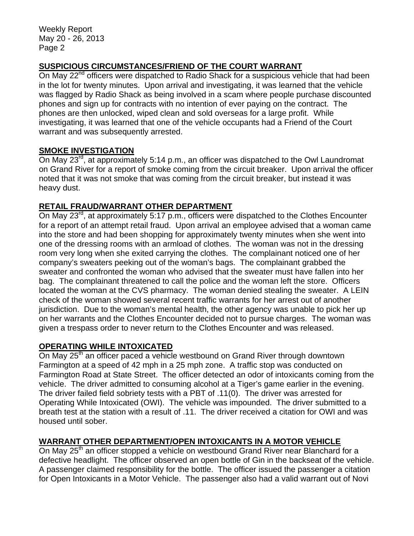Weekly Report May 20 - 26, 2013 Page 2

## **SUSPICIOUS CIRCUMSTANCES/FRIEND OF THE COURT WARRANT**

On May 22<sup>nd</sup> officers were dispatched to Radio Shack for a suspicious vehicle that had been in the lot for twenty minutes. Upon arrival and investigating, it was learned that the vehicle was flagged by Radio Shack as being involved in a scam where people purchase discounted phones and sign up for contracts with no intention of ever paying on the contract. The phones are then unlocked, wiped clean and sold overseas for a large profit. While investigating, it was learned that one of the vehicle occupants had a Friend of the Court warrant and was subsequently arrested.

#### **SMOKE INVESTIGATION**

On May 23<sup>rd</sup>, at approximately 5:14 p.m., an officer was dispatched to the Owl Laundromat on Grand River for a report of smoke coming from the circuit breaker. Upon arrival the officer noted that it was not smoke that was coming from the circuit breaker, but instead it was heavy dust.

#### **RETAIL FRAUD/WARRANT OTHER DEPARTMENT**

On May 23<sup>rd</sup>, at approximately 5:17 p.m., officers were dispatched to the Clothes Encounter for a report of an attempt retail fraud. Upon arrival an employee advised that a woman came into the store and had been shopping for approximately twenty minutes when she went into one of the dressing rooms with an armload of clothes. The woman was not in the dressing room very long when she exited carrying the clothes. The complainant noticed one of her company's sweaters peeking out of the woman's bags. The complainant grabbed the sweater and confronted the woman who advised that the sweater must have fallen into her bag. The complainant threatened to call the police and the woman left the store. Officers located the woman at the CVS pharmacy. The woman denied stealing the sweater. A LEIN check of the woman showed several recent traffic warrants for her arrest out of another jurisdiction. Due to the woman's mental health, the other agency was unable to pick her up on her warrants and the Clothes Encounter decided not to pursue charges. The woman was given a trespass order to never return to the Clothes Encounter and was released.

#### **OPERATING WHILE INTOXICATED**

On May 25<sup>th</sup> an officer paced a vehicle westbound on Grand River through downtown Farmington at a speed of 42 mph in a 25 mph zone. A traffic stop was conducted on Farmington Road at State Street. The officer detected an odor of intoxicants coming from the vehicle. The driver admitted to consuming alcohol at a Tiger's game earlier in the evening. The driver failed field sobriety tests with a PBT of .11(0). The driver was arrested for Operating While Intoxicated (OWI). The vehicle was impounded. The driver submitted to a breath test at the station with a result of .11. The driver received a citation for OWI and was housed until sober.

## **WARRANT OTHER DEPARTMENT/OPEN INTOXICANTS IN A MOTOR VEHICLE**

On May 25<sup>th</sup> an officer stopped a vehicle on westbound Grand River near Blanchard for a defective headlight. The officer observed an open bottle of Gin in the backseat of the vehicle. A passenger claimed responsibility for the bottle. The officer issued the passenger a citation for Open Intoxicants in a Motor Vehicle. The passenger also had a valid warrant out of Novi